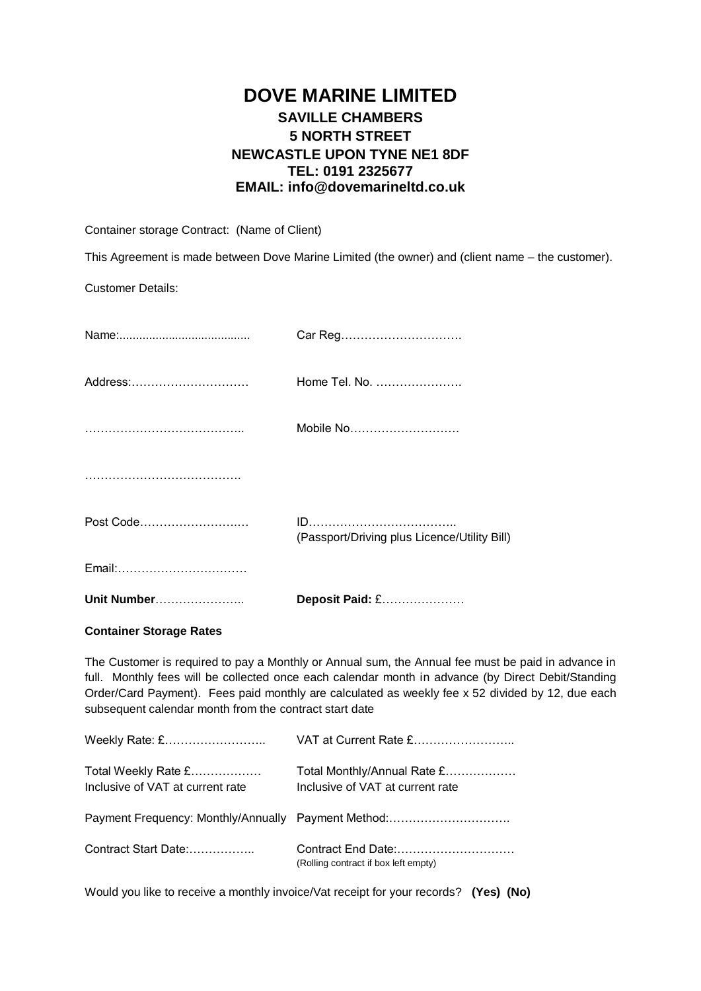# **DOVE MARINE LIMITED SAVILLE CHAMBERS 5 NORTH STREET NEWCASTLE UPON TYNE NE1 8DF TEL: 0191 2325677 EMAIL: info@dovemarineltd.co.uk**

Container storage Contract: (Name of Client)

This Agreement is made between Dove Marine Limited (the owner) and (client name – the customer).

Customer Details:

| <b>Unit Number</b> | Deposit Paid: £                              |
|--------------------|----------------------------------------------|
| Email:             |                                              |
| Post Code          | (Passport/Driving plus Licence/Utility Bill) |
|                    |                                              |
|                    | Mobile No                                    |
| Address:           | Home Tel. No.                                |
|                    | Car Reg                                      |

## **Container Storage Rates**

The Customer is required to pay a Monthly or Annual sum, the Annual fee must be paid in advance in full. Monthly fees will be collected once each calendar month in advance (by Direct Debit/Standing Order/Card Payment). Fees paid monthly are calculated as weekly fee x 52 divided by 12, due each subsequent calendar month from the contract start date

| Weekly Rate: £                                          | VAT at Current Rate £                                           |
|---------------------------------------------------------|-----------------------------------------------------------------|
| Total Weekly Rate £<br>Inclusive of VAT at current rate | Total Monthly/Annual Rate £<br>Inclusive of VAT at current rate |
|                                                         | Payment Frequency: Monthly/Annually Payment Method:             |
| Contract Start Date:                                    | (Rolling contract if box left empty)                            |

Would you like to receive a monthly invoice/Vat receipt for your records? **(Yes) (No)**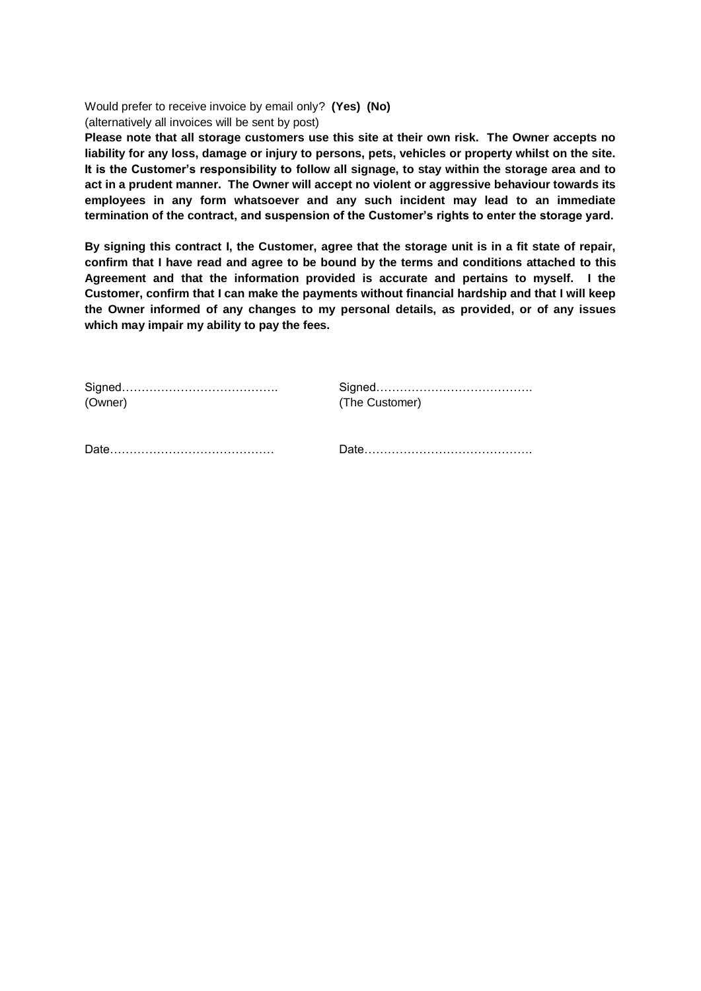Would prefer to receive invoice by email only? **(Yes) (No)** (alternatively all invoices will be sent by post)

**Please note that all storage customers use this site at their own risk. The Owner accepts no liability for any loss, damage or injury to persons, pets, vehicles or property whilst on the site. It is the Customer's responsibility to follow all signage, to stay within the storage area and to act in a prudent manner. The Owner will accept no violent or aggressive behaviour towards its employees in any form whatsoever and any such incident may lead to an immediate termination of the contract, and suspension of the Customer's rights to enter the storage yard.**

**By signing this contract I, the Customer, agree that the storage unit is in a fit state of repair, confirm that I have read and agree to be bound by the terms and conditions attached to this Agreement and that the information provided is accurate and pertains to myself. I the Customer, confirm that I can make the payments without financial hardship and that I will keep the Owner informed of any changes to my personal details, as provided, or of any issues which may impair my ability to pay the fees.**

| (Owner) | (The Customer) |
|---------|----------------|
|         | Date           |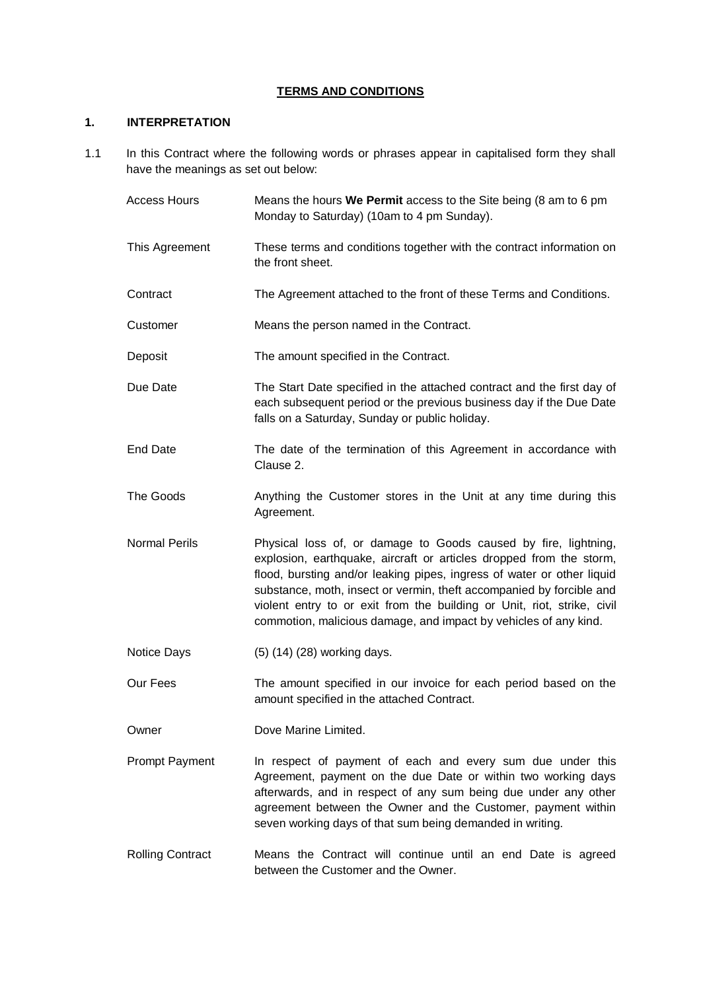# **TERMS AND CONDITIONS**

## **1. INTERPRETATION**

- 1.1 In this Contract where the following words or phrases appear in capitalised form they shall have the meanings as set out below:
	- Access Hours Means the hours **We Permit** access to the Site being (8 am to 6 pm Monday to Saturday) (10am to 4 pm Sunday). This Agreement These terms and conditions together with the contract information on the front sheet. Contract The Agreement attached to the front of these Terms and Conditions. Customer Means the person named in the Contract. Deposit The amount specified in the Contract. Due Date The Start Date specified in the attached contract and the first day of each subsequent period or the previous business day if the Due Date falls on a Saturday, Sunday or public holiday. End Date The date of the termination of this Agreement in accordance with Clause 2. The Goods Anything the Customer stores in the Unit at any time during this Agreement. Normal Perils Physical loss of, or damage to Goods caused by fire, lightning, explosion, earthquake, aircraft or articles dropped from the storm, flood, bursting and/or leaking pipes, ingress of water or other liquid substance, moth, insect or vermin, theft accompanied by forcible and violent entry to or exit from the building or Unit, riot, strike, civil commotion, malicious damage, and impact by vehicles of any kind. Notice Days (5) (14) (28) working days. Our Fees The amount specified in our invoice for each period based on the amount specified in the attached Contract.
	- Owner Dove Marine Limited.
	- Prompt Payment In respect of payment of each and every sum due under this Agreement, payment on the due Date or within two working days afterwards, and in respect of any sum being due under any other agreement between the Owner and the Customer, payment within seven working days of that sum being demanded in writing.
	- Rolling Contract Means the Contract will continue until an end Date is agreed between the Customer and the Owner.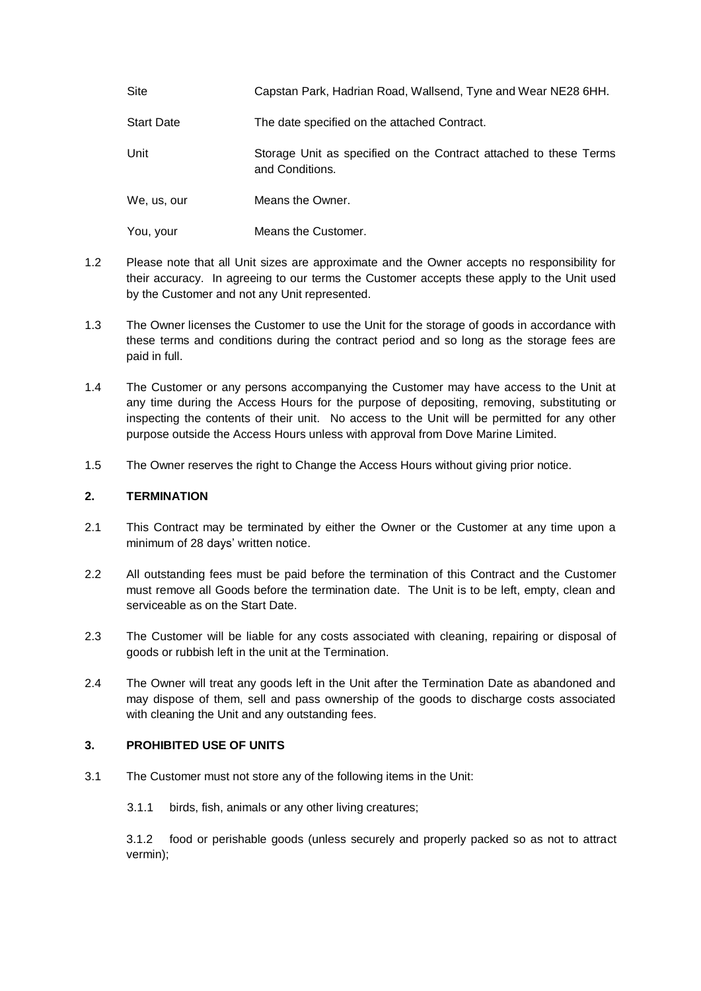| Site              | Capstan Park, Hadrian Road, Wallsend, Tyne and Wear NE28 6HH.                        |
|-------------------|--------------------------------------------------------------------------------------|
| <b>Start Date</b> | The date specified on the attached Contract.                                         |
| Unit              | Storage Unit as specified on the Contract attached to these Terms<br>and Conditions. |
| We, us, our       | Means the Owner.                                                                     |
| You, your         | Means the Customer.                                                                  |

- 1.2 Please note that all Unit sizes are approximate and the Owner accepts no responsibility for their accuracy. In agreeing to our terms the Customer accepts these apply to the Unit used by the Customer and not any Unit represented.
- 1.3 The Owner licenses the Customer to use the Unit for the storage of goods in accordance with these terms and conditions during the contract period and so long as the storage fees are paid in full.
- 1.4 The Customer or any persons accompanying the Customer may have access to the Unit at any time during the Access Hours for the purpose of depositing, removing, substituting or inspecting the contents of their unit. No access to the Unit will be permitted for any other purpose outside the Access Hours unless with approval from Dove Marine Limited.
- 1.5 The Owner reserves the right to Change the Access Hours without giving prior notice.

## **2. TERMINATION**

- 2.1 This Contract may be terminated by either the Owner or the Customer at any time upon a minimum of 28 days' written notice.
- 2.2 All outstanding fees must be paid before the termination of this Contract and the Customer must remove all Goods before the termination date. The Unit is to be left, empty, clean and serviceable as on the Start Date.
- 2.3 The Customer will be liable for any costs associated with cleaning, repairing or disposal of goods or rubbish left in the unit at the Termination.
- 2.4 The Owner will treat any goods left in the Unit after the Termination Date as abandoned and may dispose of them, sell and pass ownership of the goods to discharge costs associated with cleaning the Unit and any outstanding fees.

#### **3. PROHIBITED USE OF UNITS**

- 3.1 The Customer must not store any of the following items in the Unit:
	- 3.1.1 birds, fish, animals or any other living creatures;

3.1.2 food or perishable goods (unless securely and properly packed so as not to attract vermin);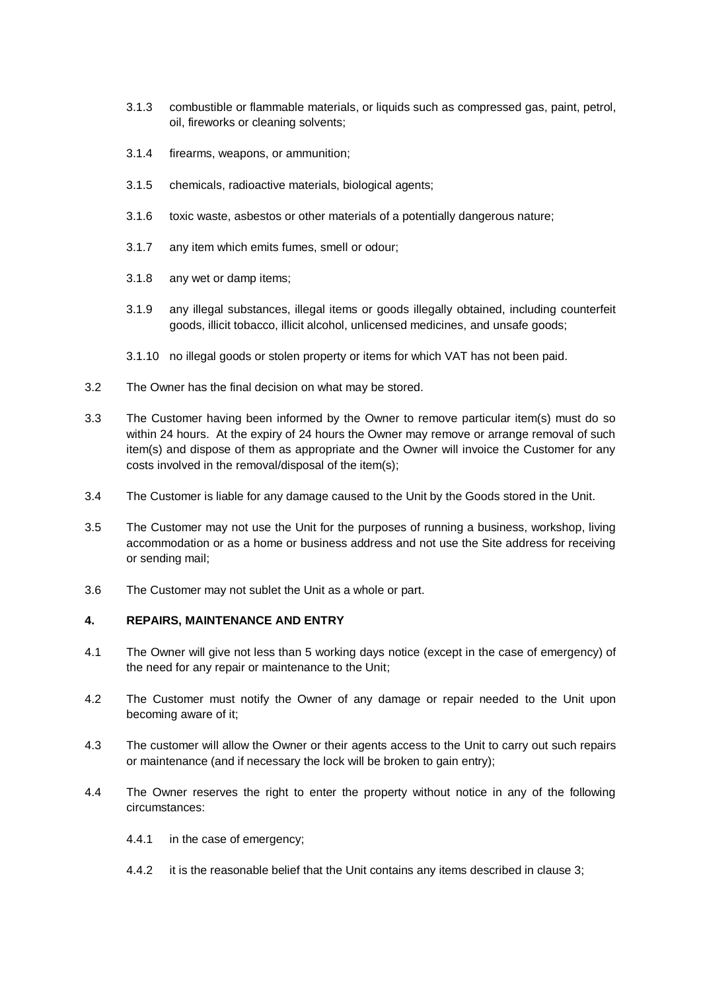- 3.1.3 combustible or flammable materials, or liquids such as compressed gas, paint, petrol, oil, fireworks or cleaning solvents;
- 3.1.4 firearms, weapons, or ammunition;
- 3.1.5 chemicals, radioactive materials, biological agents;
- 3.1.6 toxic waste, asbestos or other materials of a potentially dangerous nature;
- 3.1.7 any item which emits fumes, smell or odour;
- 3.1.8 any wet or damp items;
- 3.1.9 any illegal substances, illegal items or goods illegally obtained, including counterfeit goods, illicit tobacco, illicit alcohol, unlicensed medicines, and unsafe goods;
- 3.1.10 no illegal goods or stolen property or items for which VAT has not been paid.
- 3.2 The Owner has the final decision on what may be stored.
- 3.3 The Customer having been informed by the Owner to remove particular item(s) must do so within 24 hours. At the expiry of 24 hours the Owner may remove or arrange removal of such item(s) and dispose of them as appropriate and the Owner will invoice the Customer for any costs involved in the removal/disposal of the item(s);
- 3.4 The Customer is liable for any damage caused to the Unit by the Goods stored in the Unit.
- 3.5 The Customer may not use the Unit for the purposes of running a business, workshop, living accommodation or as a home or business address and not use the Site address for receiving or sending mail;
- 3.6 The Customer may not sublet the Unit as a whole or part.

## **4. REPAIRS, MAINTENANCE AND ENTRY**

- 4.1 The Owner will give not less than 5 working days notice (except in the case of emergency) of the need for any repair or maintenance to the Unit;
- 4.2 The Customer must notify the Owner of any damage or repair needed to the Unit upon becoming aware of it;
- 4.3 The customer will allow the Owner or their agents access to the Unit to carry out such repairs or maintenance (and if necessary the lock will be broken to gain entry);
- 4.4 The Owner reserves the right to enter the property without notice in any of the following circumstances:
	- 4.4.1 in the case of emergency;
	- 4.4.2 it is the reasonable belief that the Unit contains any items described in clause 3;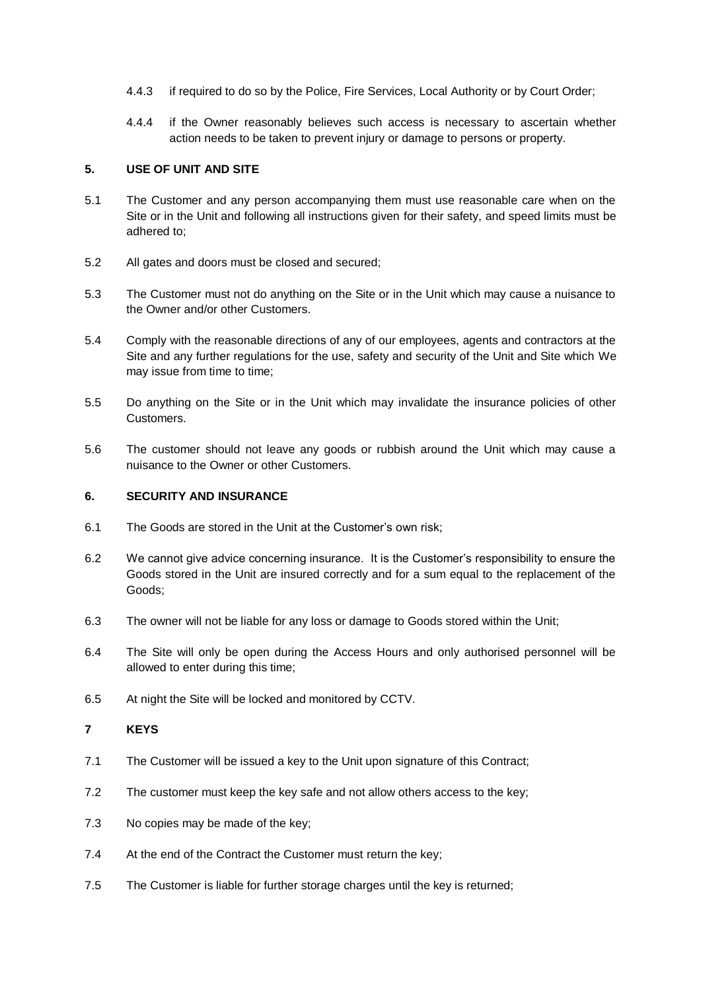- 4.4.3 if required to do so by the Police, Fire Services, Local Authority or by Court Order;
- 4.4.4 if the Owner reasonably believes such access is necessary to ascertain whether action needs to be taken to prevent injury or damage to persons or property.

#### **5. USE OF UNIT AND SITE**

- 5.1 The Customer and any person accompanying them must use reasonable care when on the Site or in the Unit and following all instructions given for their safety, and speed limits must be adhered to;
- 5.2 All gates and doors must be closed and secured;
- 5.3 The Customer must not do anything on the Site or in the Unit which may cause a nuisance to the Owner and/or other Customers.
- 5.4 Comply with the reasonable directions of any of our employees, agents and contractors at the Site and any further regulations for the use, safety and security of the Unit and Site which We may issue from time to time;
- 5.5 Do anything on the Site or in the Unit which may invalidate the insurance policies of other Customers.
- 5.6 The customer should not leave any goods or rubbish around the Unit which may cause a nuisance to the Owner or other Customers.

#### **6. SECURITY AND INSURANCE**

- 6.1 The Goods are stored in the Unit at the Customer's own risk;
- 6.2 We cannot give advice concerning insurance. It is the Customer's responsibility to ensure the Goods stored in the Unit are insured correctly and for a sum equal to the replacement of the Goods;
- 6.3 The owner will not be liable for any loss or damage to Goods stored within the Unit;
- 6.4 The Site will only be open during the Access Hours and only authorised personnel will be allowed to enter during this time;
- 6.5 At night the Site will be locked and monitored by CCTV.

#### **7 KEYS**

- 7.1 The Customer will be issued a key to the Unit upon signature of this Contract;
- 7.2 The customer must keep the key safe and not allow others access to the key;
- 7.3 No copies may be made of the key;
- 7.4 At the end of the Contract the Customer must return the key;
- 7.5 The Customer is liable for further storage charges until the key is returned;